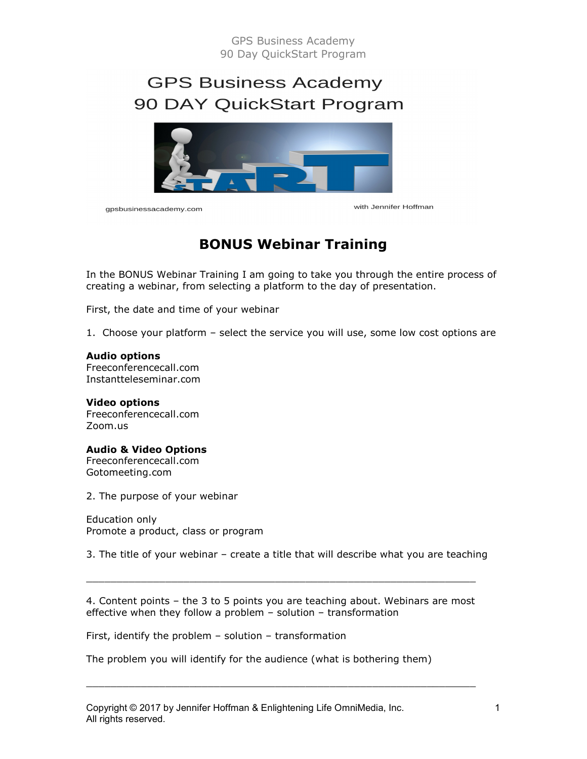# GPS Business Academy 90 Day QuickStart Program

# **GPS Business Academy** 90 DAY QuickStart Program



gpsbusinessacademy.com

with Jennifer Hoffman

# BONUS Webinar Training

In the BONUS Webinar Training I am going to take you through the entire process of creating a webinar, from selecting a platform to the day of presentation.

First, the date and time of your webinar

1. Choose your platform – select the service you will use, some low cost options are

#### Audio options

Freeconferencecall.com Instantteleseminar.com

Video options Freeconferencecall.com Zoom.us

Audio & Video Options Freeconferencecall.com Gotomeeting.com

2. The purpose of your webinar

Education only Promote a product, class or program

3. The title of your webinar – create a title that will describe what you are teaching

4. Content points – the 3 to 5 points you are teaching about. Webinars are most effective when they follow a problem – solution – transformation

 $\_$  , and the set of the set of the set of the set of the set of the set of the set of the set of the set of the set of the set of the set of the set of the set of the set of the set of the set of the set of the set of th

 $\_$  ,  $\_$  ,  $\_$  ,  $\_$  ,  $\_$  ,  $\_$  ,  $\_$  ,  $\_$  ,  $\_$  ,  $\_$  ,  $\_$  ,  $\_$  ,  $\_$  ,  $\_$  ,  $\_$  ,  $\_$  ,  $\_$  ,  $\_$  ,  $\_$ 

First, identify the problem – solution – transformation

The problem you will identify for the audience (what is bothering them)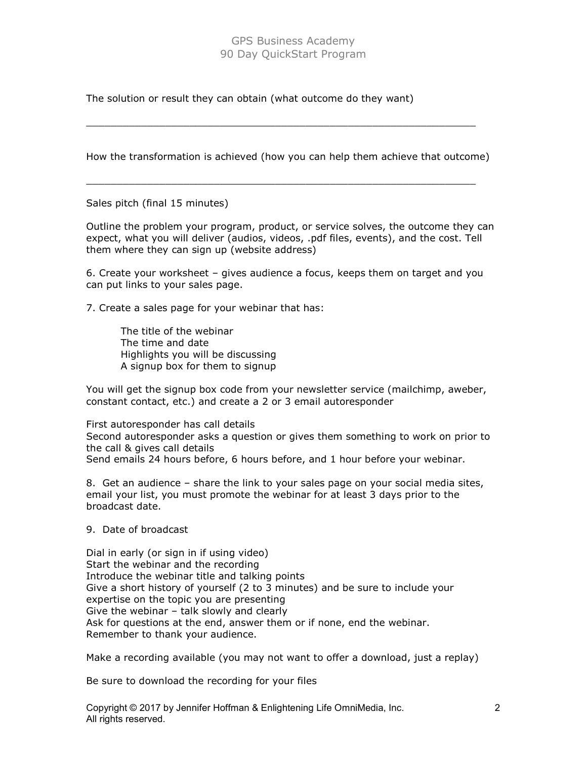## GPS Business Academy 90 Day QuickStart Program

The solution or result they can obtain (what outcome do they want)

How the transformation is achieved (how you can help them achieve that outcome)

 $\_$  , and the set of the set of the set of the set of the set of the set of the set of the set of the set of the set of the set of the set of the set of the set of the set of the set of the set of the set of the set of th

 $\overline{\phantom{a}}$  , and the contribution of the contribution of the contribution of the contribution of the contribution of the contribution of the contribution of the contribution of the contribution of the contribution of the

Sales pitch (final 15 minutes)

Outline the problem your program, product, or service solves, the outcome they can expect, what you will deliver (audios, videos, .pdf files, events), and the cost. Tell them where they can sign up (website address)

6. Create your worksheet – gives audience a focus, keeps them on target and you can put links to your sales page.

7. Create a sales page for your webinar that has:

 The title of the webinar The time and date Highlights you will be discussing A signup box for them to signup

You will get the signup box code from your newsletter service (mailchimp, aweber, constant contact, etc.) and create a 2 or 3 email autoresponder

First autoresponder has call details Second autoresponder asks a question or gives them something to work on prior to the call & gives call details Send emails 24 hours before, 6 hours before, and 1 hour before your webinar.

8. Get an audience – share the link to your sales page on your social media sites, email your list, you must promote the webinar for at least 3 days prior to the broadcast date.

#### 9. Date of broadcast

Dial in early (or sign in if using video) Start the webinar and the recording Introduce the webinar title and talking points Give a short history of yourself (2 to 3 minutes) and be sure to include your expertise on the topic you are presenting Give the webinar – talk slowly and clearly Ask for questions at the end, answer them or if none, end the webinar. Remember to thank your audience.

Make a recording available (you may not want to offer a download, just a replay)

Be sure to download the recording for your files

Copyright © 2017 by Jennifer Hoffman & Enlightening Life OmniMedia, Inc. All rights reserved.